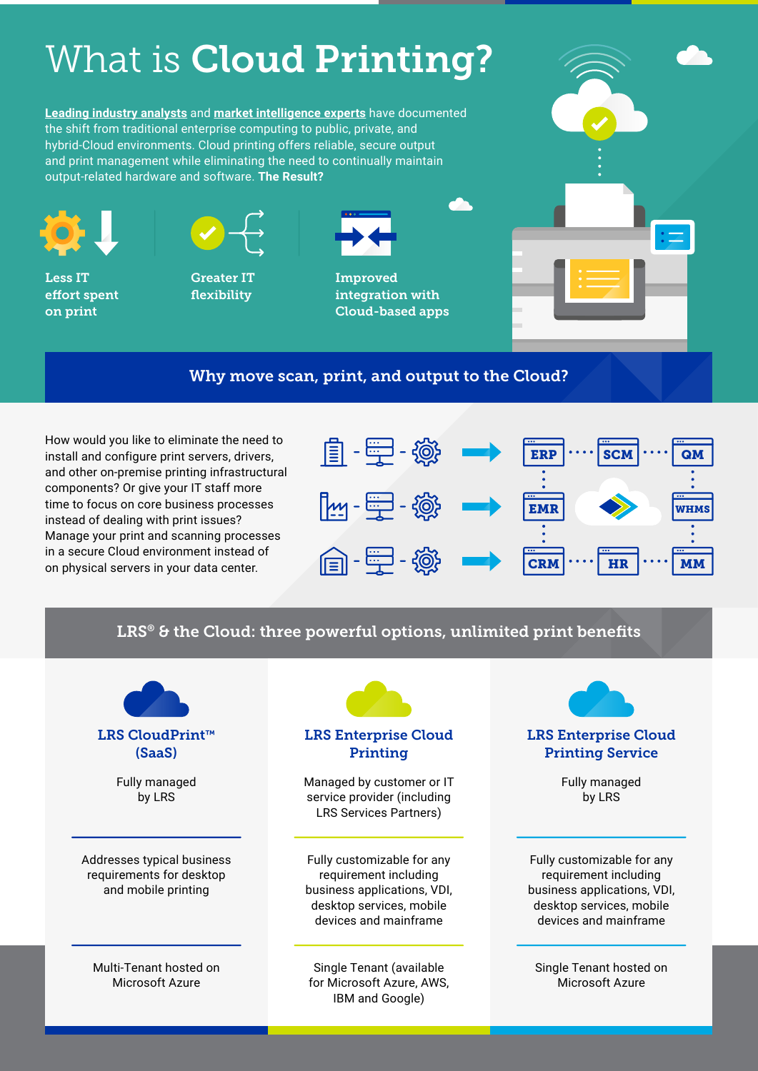# What is **Cloud Printing?**

**[Leading industry analysts](https://www.gartner.com/en/newsroom/press-releases/2022-02-09-gartner-says-more-than-half-of-enterprise-it-spending)** and **[market intelligence experts](https://www.idc.com/getdoc.jsp?containerId=prUS48208321)** have documented the shift from traditional enterprise computing to public, private, and hybrid-Cloud environments. Cloud printing offers reliable, secure output and print management while eliminating the need to continually maintain output-related hardware and software. **The Result?**



Less IT effort spent on print



Greater IT flexibility



Improved integration with Cloud-based apps



# Why move scan, print, and output to the Cloud?

How would you like to eliminate the need to install and configure print servers, drivers, and other on-premise printing infrastructural components? Or give your IT staff more time to focus on core business processes instead of dealing with print issues? Manage your print and scanning processes in a secure Cloud environment instead of on physical servers in your data center.



# LRS<sup>®</sup> & the Cloud: three powerful options, unlimited print benefits